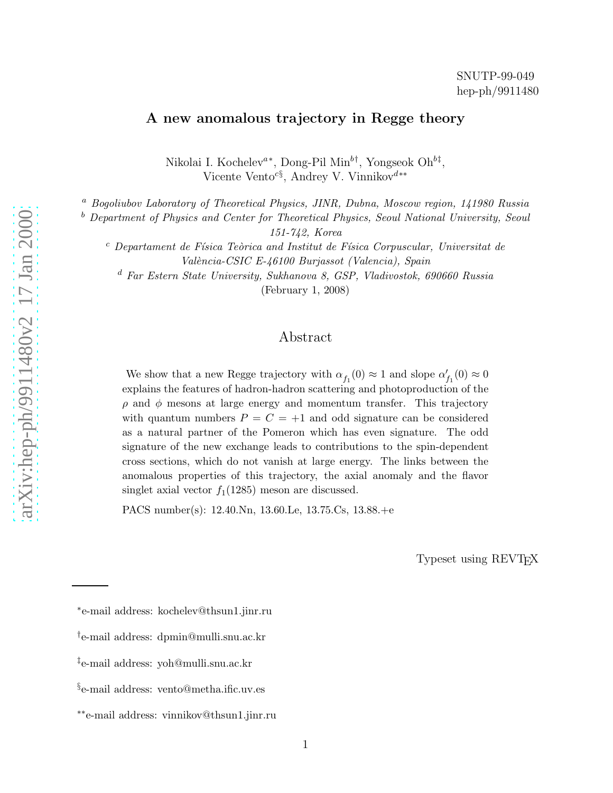# A new anomalous trajectory in Regge theory

Nikolai I. Kochelev<sup>a\*</sup>, Dong-Pil Min<sup>b†</sup>, Yongseok Oh<sup>b‡</sup>, Vicente Vento<sup>c§</sup>, Andrey V. Vinnikov<sup>d∗∗</sup>

<sup>a</sup> Bogoliubov Laboratory of Theoretical Physics, JINR, Dubna, Moscow region, 141980 Russia

 $b$  Department of Physics and Center for Theoretical Physics, Seoul National University, Seoul

151-742, Korea

 $c$  Departament de Física Teòrica and Institut de Física Corpuscular, Universitat de València-CSIC E-46100 Burjassot (Valencia), Spain

<sup>d</sup> Far Estern State University, Sukhanova 8, GSP, Vladivostok, 690660 Russia

(February 1, 2008)

# Abstract

We show that a new Regge trajectory with  $\alpha_{f_1}(0)\approx 1$  and slope  $\alpha_{f_1}'(0)\approx 0$ explains the features of hadron-hadron scattering and photoproduction of the  $\rho$  and  $\phi$  mesons at large energy and momentum transfer. This trajectory with quantum numbers  $P = C = +1$  and odd signature can be considered as a natural partner of the Pomeron which has even signature. The odd signature of the new exchange leads to contributions to the spin-dependent cross sections, which do not vanish at large energy. The links between the anomalous properties of this trajectory, the axial anomaly and the flavor singlet axial vector  $f_1(1285)$  meson are discussed.

PACS number(s): 12.40.Nn, 13.60.Le, 13.75.Cs, 13.88.+e

Typeset using REVTEX

<sup>∗</sup> e-mail address: kochelev@thsun1.jinr.ru

<sup>†</sup> e-mail address: dpmin@mulli.snu.ac.kr

<sup>‡</sup> e-mail address: yoh@mulli.snu.ac.kr

<sup>§</sup> e-mail address: vento@metha.ific.uv.es

<sup>∗∗</sup>e-mail address: vinnikov@thsun1.jinr.ru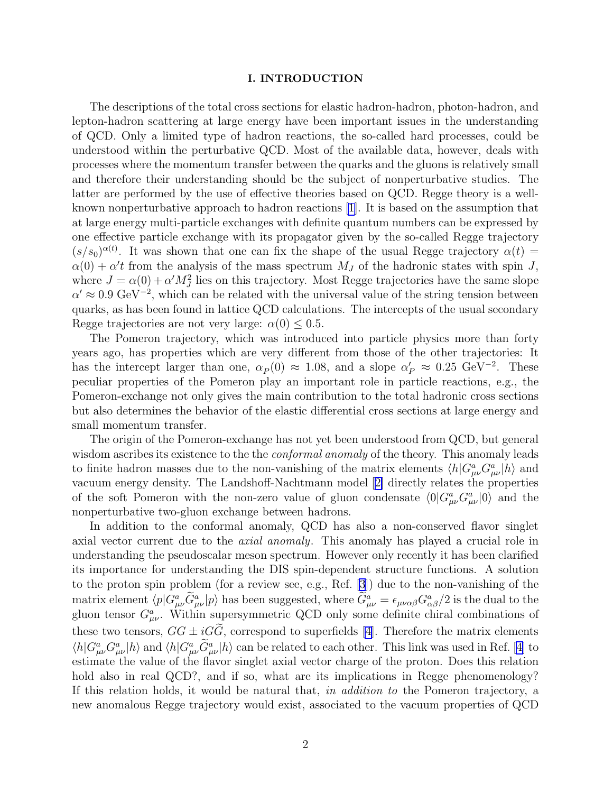#### I. INTRODUCTION

The descriptions of the total cross sections for elastic hadron-hadron, photon-hadron, and lepton-hadron scattering at large energy have been important issues in the understanding of QCD. Only a limited type of hadron reactions, the so-called hard processes, could be understood within the perturbative QCD. Most of the available data, however, deals with processes where the momentum transfer between the quarks and the gluons is relatively small and therefore their understanding should be the subject of nonperturbative studies. The latter are performed by the use of effective theories based on QCD. Regge theory is a wellknown nonperturbative approach to hadron reactions [\[1](#page-14-0)]. It is based on the assumption that at large energy multi-particle exchanges with definite quantum numbers can be expressed by one effective particle exchange with its propagator given by the so-called Regge trajectory  $(s/s_0)^{\alpha(t)}$ . It was shown that one can fix the shape of the usual Regge trajectory  $\alpha(t)$  =  $\alpha(0) + \alpha'$  from the analysis of the mass spectrum  $M_J$  of the hadronic states with spin J, where  $J = \alpha(0) + \alpha' M_J^2$  lies on this trajectory. Most Regge trajectories have the same slope  $\alpha' \approx 0.9 \text{ GeV}^{-2}$ , which can be related with the universal value of the string tension between quarks, as has been found in lattice QCD calculations. The intercepts of the usual secondary Regge trajectories are not very large:  $\alpha(0) \leq 0.5$ .

The Pomeron trajectory, which was introduced into particle physics more than forty years ago, has properties which are very different from those of the other trajectories: It has the intercept larger than one,  $\alpha_P(0) \approx 1.08$ , and a slope  $\alpha'_P \approx 0.25 \text{ GeV}^{-2}$ . These peculiar properties of the Pomeron play an important role in particle reactions, e.g., the Pomeron-exchange not only gives the main contribution to the total hadronic cross sections but also determines the behavior of the elastic differential cross sections at large energy and small momentum transfer.

The origin of the Pomeron-exchange has not yet been understood from QCD, but general wisdom ascribes its existence to the the *conformal anomaly* of the theory. This anomaly leads to finite hadron masses due to the non-vanishing of the matrix elements  $\langle h | G^a_{\mu\nu} G^a_{\mu\nu} | h \rangle$  and vacuum energy density. The Landshoff-Nachtmann model[[2\]](#page-14-0) directly relates the properties of the soft Pomeron with the non-zero value of gluon condensate  $\langle 0|G^a_{\mu\nu}G^a_{\mu\nu}|0\rangle$  and the nonperturbative two-gluon exchange between hadrons.

In addition to the conformal anomaly, QCD has also a non-conserved flavor singlet axial vector current due to the axial anomaly. This anomaly has played a crucial role in understanding the pseudoscalar meson spectrum. However only recently it has been clarified its importance for understanding the DIS spin-dependent structure functions. A solution to the proton spin problem (for a review see, e.g., Ref. [\[3](#page-14-0)]) due to the non-vanishing of the matrix element  $\langle p|G^a_{\mu\nu}\tilde{G}^a_{\mu\nu}|p\rangle$  has been suggested, where  $\tilde{G}^a_{\mu\nu} = \epsilon_{\mu\nu\alpha\beta}G^a_{\alpha\beta}/2$  is the dual to the gluon tensor  $G^a_{\mu\nu}$ . Within supersymmetric QCD only some definite chiral combinations of these two tensors,  $GG \pm iG\tilde{G}$ , correspond to superfields [\[4](#page-14-0)]. Therefore the matrix elements  $\langle h|G^a_{\mu\nu}G^a_{\mu\nu}|h\rangle$  and  $\langle h|G^a_{\mu\nu}\tilde{G}^a_{\mu\nu}|h\rangle$  can be related to each other. This link was used in Ref. [\[4\]](#page-14-0) to estimate the value of the flavor singlet axial vector charge of the proton. Does this relation hold also in real QCD?, and if so, what are its implications in Regge phenomenology? If this relation holds, it would be natural that, in addition to the Pomeron trajectory, a new anomalous Regge trajectory would exist, associated to the vacuum properties of QCD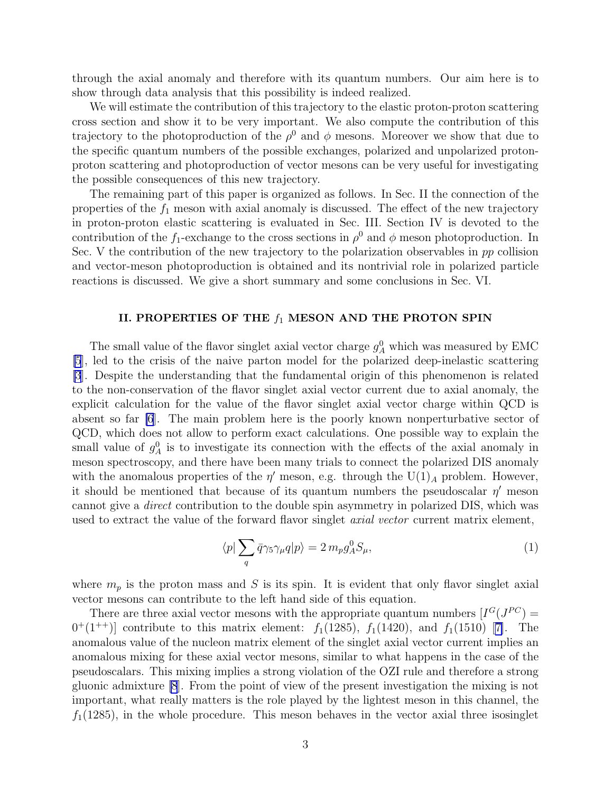through the axial anomaly and therefore with its quantum numbers. Our aim here is to show through data analysis that this possibility is indeed realized.

We will estimate the contribution of this trajectory to the elastic proton-proton scattering cross section and show it to be very important. We also compute the contribution of this trajectory to the photoproduction of the  $\rho^0$  and  $\phi$  mesons. Moreover we show that due to the specific quantum numbers of the possible exchanges, polarized and unpolarized protonproton scattering and photoproduction of vector mesons can be very useful for investigating the possible consequences of this new trajectory.

The remaining part of this paper is organized as follows. In Sec. II the connection of the properties of the  $f_1$  meson with axial anomaly is discussed. The effect of the new trajectory in proton-proton elastic scattering is evaluated in Sec. III. Section IV is devoted to the contribution of the  $f_1$ -exchange to the cross sections in  $\rho^0$  and  $\phi$  meson photoproduction. In Sec. V the contribution of the new trajectory to the polarization observables in  $pp$  collision and vector-meson photoproduction is obtained and its nontrivial role in polarized particle reactions is discussed. We give a short summary and some conclusions in Sec. VI.

#### II. PROPERTIES OF THE  $f_1$  MESON AND THE PROTON SPIN

The small value of the flavor singlet axial vector charge  $g_A^0$  which was measured by EMC [\[5](#page-14-0)], led to the crisis of the naive parton model for the polarized deep-inelastic scattering [\[3](#page-14-0)]. Despite the understanding that the fundamental origin of this phenomenon is related to the non-conservation of the flavor singlet axial vector current due to axial anomaly, the explicit calculation for the value of the flavor singlet axial vector charge within QCD is absent so far [\[6](#page-14-0)]. The main problem here is the poorly known nonperturbative sector of QCD, which does not allow to perform exact calculations. One possible way to explain the small value of  $g_A^0$  is to investigate its connection with the effects of the axial anomaly in meson spectroscopy, and there have been many trials to connect the polarized DIS anomaly with the anomalous properties of the  $\eta'$  meson, e.g. through the U(1)<sub>A</sub> problem. However, it should be mentioned that because of its quantum numbers the pseudoscalar  $\eta'$  meson cannot give a direct contribution to the double spin asymmetry in polarized DIS, which was used to extract the value of the forward flavor singlet *axial vector* current matrix element,

$$
\langle p | \sum_{q} \bar{q} \gamma_5 \gamma_{\mu} q | p \rangle = 2 m_p g_A^0 S_{\mu}, \tag{1}
$$

where  $m_p$  is the proton mass and S is its spin. It is evident that only flavor singlet axial vector mesons can contribute to the left hand side of this equation.

There are three axial vector mesons with the appropriate quantum numbers  $[I^G(J^{PC}) =$  $0^+(1^{++})$ ]contribute to this matrix element:  $f_1(1285)$ ,  $f_1(1420)$ , and  $f_1(1510)$  [[7\]](#page-14-0). The anomalous value of the nucleon matrix element of the singlet axial vector current implies an anomalous mixing for these axial vector mesons, similar to what happens in the case of the pseudoscalars. This mixing implies a strong violation of the OZI rule and therefore a strong gluonic admixture [\[8](#page-14-0)]. From the point of view of the present investigation the mixing is not important, what really matters is the role played by the lightest meson in this channel, the  $f_1(1285)$ , in the whole procedure. This meson behaves in the vector axial three isosinglet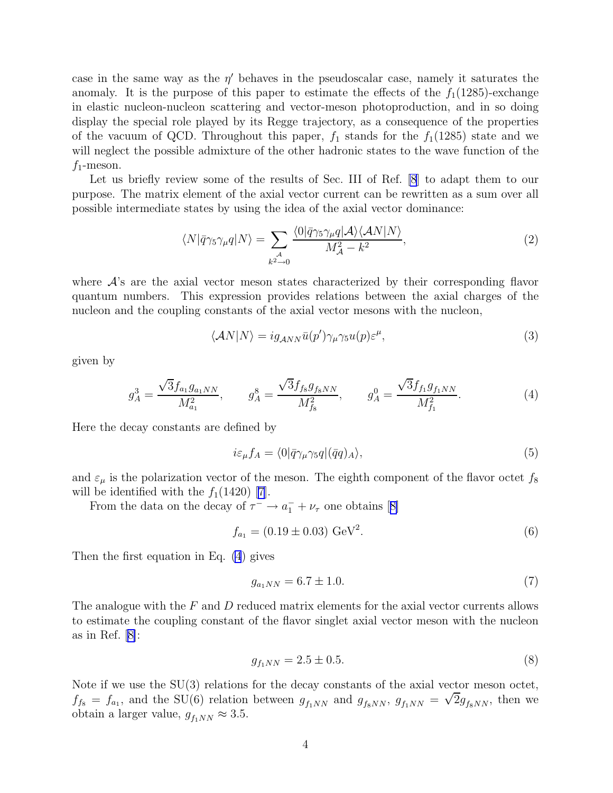<span id="page-3-0"></span>case in the same way as the  $\eta'$  behaves in the pseudoscalar case, namely it saturates the anomaly. It is the purpose of this paper to estimate the effects of the  $f_1(1285)$ -exchange in elastic nucleon-nucleon scattering and vector-meson photoproduction, and in so doing display the special role played by its Regge trajectory, as a consequence of the properties of the vacuum of QCD. Throughout this paper,  $f_1$  stands for the  $f_1(1285)$  state and we will neglect the possible admixture of the other hadronic states to the wave function of the  $f_1$ -meson.

Let us briefly review some of the results of Sec. III of Ref. [\[8](#page-14-0)] to adapt them to our purpose. The matrix element of the axial vector current can be rewritten as a sum over all possible intermediate states by using the idea of the axial vector dominance:

$$
\langle N|\bar{q}\gamma_5\gamma_\mu q|N\rangle = \sum_{\substack{\mathcal{A} \\ k^2 \to 0}} \frac{\langle 0|\bar{q}\gamma_5\gamma_\mu q|\mathcal{A}\rangle \langle \mathcal{A}N|N\rangle}{M_{\mathcal{A}}^2 - k^2},\tag{2}
$$

where  $\mathcal{A}$ 's are the axial vector meson states characterized by their corresponding flavor quantum numbers. This expression provides relations between the axial charges of the nucleon and the coupling constants of the axial vector mesons with the nucleon,

$$
\langle \mathcal{A}N|N\rangle = ig_{\mathcal{A}NN}\bar{u}(p')\gamma_{\mu}\gamma_5 u(p)\varepsilon^{\mu},\tag{3}
$$

given by

$$
g_A^3 = \frac{\sqrt{3}f_{a_1}g_{a_1NN}}{M_{a_1}^2}, \qquad g_A^8 = \frac{\sqrt{3}f_{f_8}g_{f_8NN}}{M_{f_8}^2}, \qquad g_A^0 = \frac{\sqrt{3}f_{f_1}g_{f_1NN}}{M_{f_1}^2}.
$$
 (4)

Here the decay constants are defined by

$$
i\varepsilon_{\mu}f_A = \langle 0|\bar{q}\gamma_{\mu}\gamma_5 q|(\bar{q}q)_A\rangle,\tag{5}
$$

and  $\varepsilon_{\mu}$  is the polarization vector of the meson. The eighth component of the flavor octet  $f_8$ will be identified with the  $f_1(1420)$  [\[7](#page-14-0)].

Fromthe data on the decay of  $\tau^- \to a_1^- + \nu_\tau$  one obtains [[8\]](#page-14-0)

$$
f_{a_1} = (0.19 \pm 0.03) \text{ GeV}^2. \tag{6}
$$

Then the first equation in Eq. (4) gives

$$
g_{a_1NN} = 6.7 \pm 1.0. \tag{7}
$$

The analogue with the  $F$  and  $D$  reduced matrix elements for the axial vector currents allows to estimate the coupling constant of the flavor singlet axial vector meson with the nucleon asin Ref.  $|8|$ :

$$
g_{f_1NN} = 2.5 \pm 0.5. \tag{8}
$$

Note if we use the  $SU(3)$  relations for the decay constants of the axial vector meson octet,  $f_{fs} = f_{a_1}$ , and the SU(6) relations between  $g_{f_1NN}$  and  $g_{f_8NN}$ ,  $g_{f_1NN} = \sqrt{2}g_{f_8NN}$ , then we obtain a larger value,  $g_{f_1NN} \approx 3.5$ .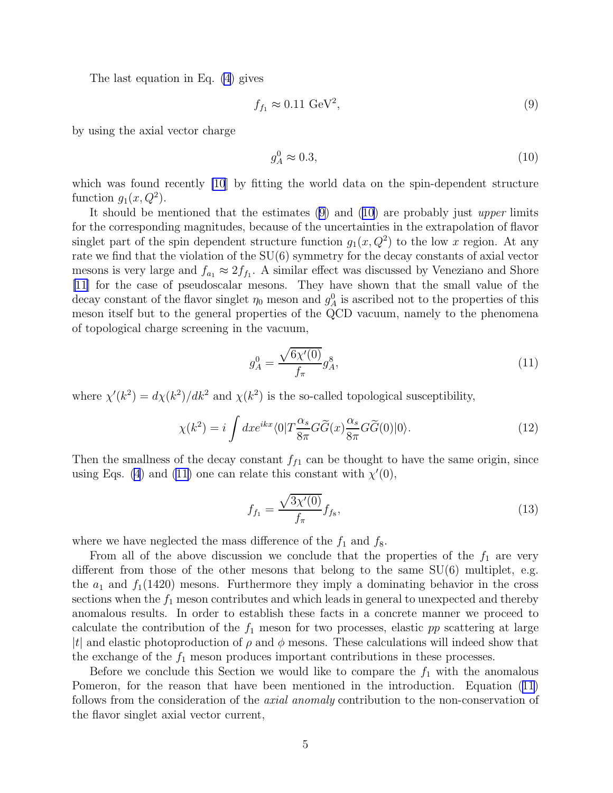The last equation in Eq. [\(4](#page-3-0)) gives

$$
f_{f_1} \approx 0.11 \text{ GeV}^2,\tag{9}
$$

by using the axial vector charge

$$
g_A^0 \approx 0.3,\tag{10}
$$

which was found recently [\[10](#page-14-0)] by fitting the world data on the spin-dependent structure function  $g_1(x, Q^2)$ .

It should be mentioned that the estimates (9) and (10) are probably just upper limits for the corresponding magnitudes, because of the uncertainties in the extrapolation of flavor singlet part of the spin dependent structure function  $g_1(x, Q^2)$  to the low x region. At any rate we find that the violation of the SU(6) symmetry for the decay constants of axial vector mesons is very large and  $f_{a_1} \approx 2f_{f_1}$ . A similar effect was discussed by Veneziano and Shore [\[11](#page-14-0)] for the case of pseudoscalar mesons. They have shown that the small value of the decay constant of the flavor singlet  $\eta_0$  meson and  $g_A^0$  is ascribed not to the properties of this meson itself but to the general properties of the QCD vacuum, namely to the phenomena of topological charge screening in the vacuum,

$$
g_A^0 = \frac{\sqrt{6\chi'(0)}}{f_\pi} g_A^8,\tag{11}
$$

where  $\chi'(k^2) = d\chi(k^2)/dk^2$  and  $\chi(k^2)$  is the so-called topological susceptibility,

$$
\chi(k^2) = i \int dx e^{ikx} \langle 0|T \frac{\alpha_s}{8\pi} G\tilde{G}(x) \frac{\alpha_s}{8\pi} G\tilde{G}(0)|0\rangle.
$$
 (12)

Then the smallness of the decay constant  $f_{f1}$  can be thought to have the same origin, since using Eqs. [\(4](#page-3-0)) and (11) one can relate this constant with  $\chi'(0)$ ,

$$
f_{f_1} = \frac{\sqrt{3\chi'(0)}}{f_\pi} f_{f_8},\tag{13}
$$

where we have neglected the mass difference of the  $f_1$  and  $f_8$ .

From all of the above discussion we conclude that the properties of the  $f_1$  are very different from those of the other mesons that belong to the same SU(6) multiplet, e.g. the  $a_1$  and  $f_1(1420)$  mesons. Furthermore they imply a dominating behavior in the cross sections when the  $f_1$  meson contributes and which leads in general to unexpected and thereby anomalous results. In order to establish these facts in a concrete manner we proceed to calculate the contribution of the  $f_1$  meson for two processes, elastic pp scattering at large |t| and elastic photoproduction of  $\rho$  and  $\phi$  mesons. These calculations will indeed show that the exchange of the  $f_1$  meson produces important contributions in these processes.

Before we conclude this Section we would like to compare the  $f_1$  with the anomalous Pomeron, for the reason that have been mentioned in the introduction. Equation (11) follows from the consideration of the axial anomaly contribution to the non-conservation of the flavor singlet axial vector current,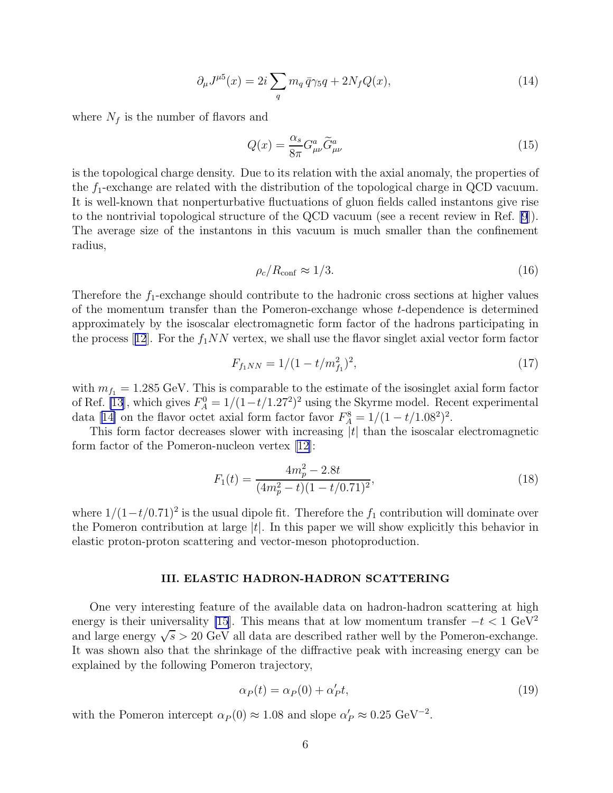$$
\partial_{\mu}J^{\mu 5}(x) = 2i \sum_{q} m_q \bar{q} \gamma_5 q + 2N_f Q(x), \qquad (14)
$$

<span id="page-5-0"></span>where  $N_f$  is the number of flavors and

$$
Q(x) = \frac{\alpha_s}{8\pi} G^a_{\mu\nu} \tilde{G}^a_{\mu\nu}
$$
\n(15)

is the topological charge density. Due to its relation with the axial anomaly, the properties of the  $f_1$ -exchange are related with the distribution of the topological charge in QCD vacuum. It is well-known that nonperturbative fluctuations of gluon fields called instantons give rise to the nontrivial topological structure of the QCD vacuum (see a recent review in Ref. [\[9](#page-14-0)]). The average size of the instantons in this vacuum is much smaller than the confinement radius,

$$
\rho_c/R_{\text{conf}} \approx 1/3. \tag{16}
$$

Therefore the  $f_1$ -exchange should contribute to the hadronic cross sections at higher values of the momentum transfer than the Pomeron-exchange whose t-dependence is determined approximately by the isoscalar electromagnetic form factor of the hadrons participating in theprocess [[12](#page-14-0)]. For the  $f_1NN$  vertex, we shall use the flavor singlet axial vector form factor

$$
F_{f_1NN} = 1/(1 - t/m_{f_1}^2)^2, \tag{17}
$$

with  $m_{f_1} = 1.285 \text{ GeV}$ . This is comparable to the estimate of the isosinglet axial form factor of Ref. [\[13](#page-14-0)], which gives  $F_A^0 = 1/(1-t/1.27^2)^2$  using the Skyrme model. Recent experimental data[[14\]](#page-14-0) on the flavor octet axial form factor favor  $F_A^8 = 1/(1 - t/1.08^2)^2$ .

This form factor decreases slower with increasing  $|t|$  than the isoscalar electromagnetic form factor of the Pomeron-nucleon vertex  $|12|$ :

$$
F_1(t) = \frac{4m_p^2 - 2.8t}{(4m_p^2 - t)(1 - t/0.71)^2},\tag{18}
$$

where  $1/(1-t/0.71)^2$  is the usual dipole fit. Therefore the  $f_1$  contribution will dominate over the Pomeron contribution at large  $|t|$ . In this paper we will show explicitly this behavior in elastic proton-proton scattering and vector-meson photoproduction.

#### III. ELASTIC HADRON-HADRON SCATTERING

One very interesting feature of the available data on hadron-hadron scattering at high energy is their universality [\[15](#page-14-0)]. This means that at low momentum transfer  $-t < 1 \text{ GeV}^2$ and large energy  $\sqrt{s} > 20$  GeV all data are described rather well by the Pomeron-exchange. It was shown also that the shrinkage of the diffractive peak with increasing energy can be explained by the following Pomeron trajectory,

$$
\alpha_P(t) = \alpha_P(0) + \alpha'_P t,\tag{19}
$$

with the Pomeron intercept  $\alpha_P(0) \approx 1.08$  and slope  $\alpha'_P \approx 0.25 \text{ GeV}^{-2}$ .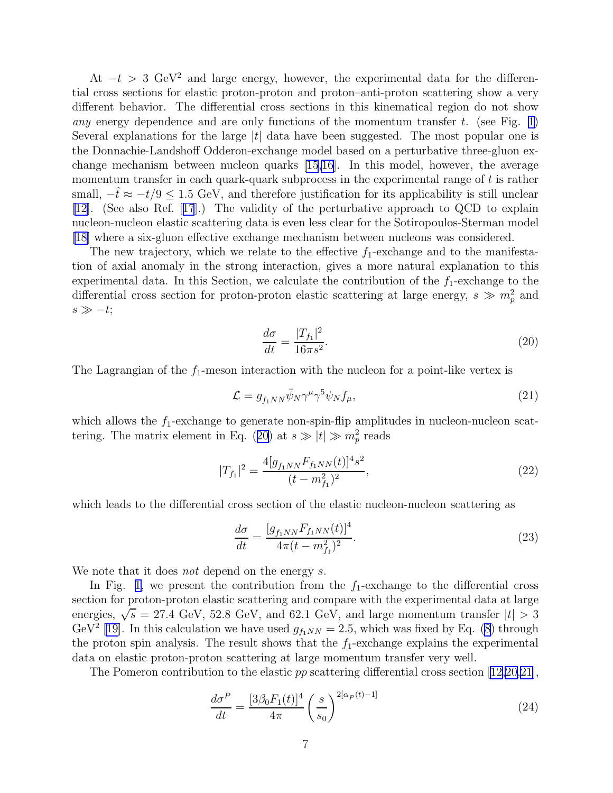At  $-t > 3$  GeV<sup>2</sup> and large energy, however, the experimental data for the differential cross sections for elastic proton-proton and proton–anti-proton scattering show a very different behavior. The differential cross sections in this kinematical region do not show any energy dependence and are only functions of the momentum transfer t. (see Fig. [1\)](#page-16-0) Several explanations for the large  $|t|$  data have been suggested. The most popular one is the Donnachie-Landshoff Odderon-exchange model based on a perturbative three-gluon exchange mechanism between nucleon quarks [\[15,16](#page-14-0)]. In this model, however, the average momentum transfer in each quark-quark subprocess in the experimental range of  $t$  is rather small,  $-t \approx -t/9 \le 1.5$  GeV, and therefore justification for its applicability is still unclear [\[12](#page-14-0)]. (See also Ref.[[17](#page-14-0)].) The validity of the perturbative approach to QCD to explain nucleon-nucleon elastic scattering data is even less clear for the Sotiropoulos-Sterman model [\[18](#page-14-0)] where a six-gluon effective exchange mechanism between nucleons was considered.

The new trajectory, which we relate to the effective  $f_1$ -exchange and to the manifestation of axial anomaly in the strong interaction, gives a more natural explanation to this experimental data. In this Section, we calculate the contribution of the  $f_1$ -exchange to the differential cross section for proton-proton elastic scattering at large energy,  $s \gg m_p^2$  and  $s \gg -t;$ 

$$
\frac{d\sigma}{dt} = \frac{|T_{f_1}|^2}{16\pi s^2}.\tag{20}
$$

The Lagrangian of the  $f_1$ -meson interaction with the nucleon for a point-like vertex is

$$
\mathcal{L} = g_{f_1 NN} \bar{\psi}_N \gamma^\mu \gamma^5 \psi_N f_\mu,\tag{21}
$$

which allows the  $f_1$ -exchange to generate non-spin-flip amplitudes in nucleon-nucleon scattering. The matrix element in Eq. (20) at  $s \gg |t| \gg m_p^2$  reads

$$
|T_{f_1}|^2 = \frac{4[g_{f_1NN}F_{f_1NN}(t)]^4 s^2}{(t - m_{f_1}^2)^2},\tag{22}
$$

which leads to the differential cross section of the elastic nucleon-nucleon scattering as

$$
\frac{d\sigma}{dt} = \frac{[g_{f_1NN}F_{f_1NN}(t)]^4}{4\pi(t - m_{f_1}^2)^2}.
$$
\n(23)

We note that it does *not* depend on the energy s.

In Fig. [1,](#page-16-0) we present the contribution from the  $f_1$ -exchange to the differential cross section for proton-proton elastic scattering and compare with the experimental data at large energies,  $\sqrt{s}$  = 27.4 GeV, 52.8 GeV, and 62.1 GeV, and large momentum transfer  $|t| > 3$ GeV<sup>2</sup> [\[19](#page-14-0)]. In this calculation we have used  $g_{f_1NN} = 2.5$ , which was fixed by Eq. [\(8](#page-3-0)) through the proton spin analysis. The result shows that the  $f_1$ -exchange explains the experimental data on elastic proton-proton scattering at large momentum transfer very well.

The Pomeron contribution to the elastic  $pp$  scattering differential cross section [\[12,20,21\]](#page-14-0),

$$
\frac{d\sigma^P}{dt} = \frac{[3\beta_0 F_1(t)]^4}{4\pi} \left(\frac{s}{s_0}\right)^{2[\alpha_P(t)-1]}
$$
\n(24)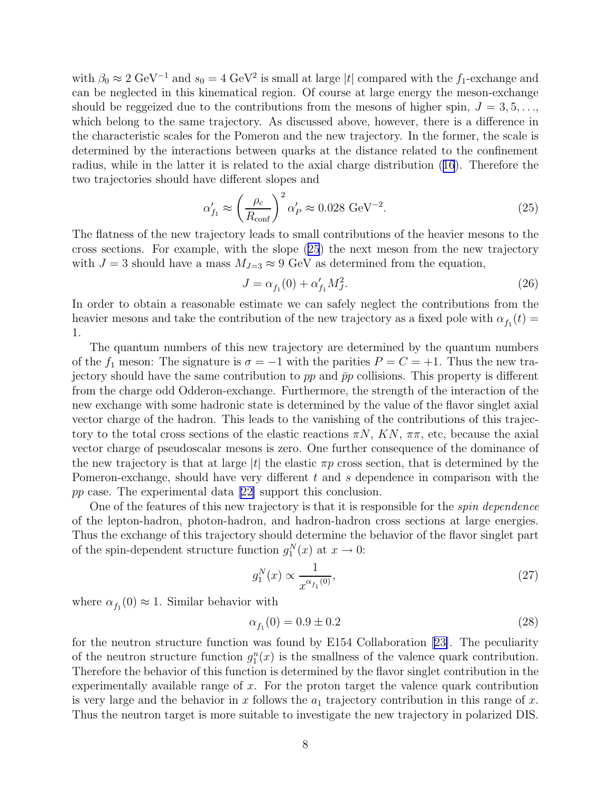<span id="page-7-0"></span>with  $\beta_0 \approx 2 \text{ GeV}^{-1}$  and  $s_0 = 4 \text{ GeV}^2$  is small at large |t| compared with the f<sub>1</sub>-exchange and can be neglected in this kinematical region. Of course at large energy the meson-exchange should be reggeized due to the contributions from the mesons of higher spin,  $J = 3, 5, \ldots$ which belong to the same trajectory. As discussed above, however, there is a difference in the characteristic scales for the Pomeron and the new trajectory. In the former, the scale is determined by the interactions between quarks at the distance related to the confinement radius, while in the latter it is related to the axial charge distribution([16](#page-5-0)). Therefore the two trajectories should have different slopes and

$$
\alpha'_{f_1} \approx \left(\frac{\rho_c}{R_{\text{conf}}}\right)^2 \alpha'_{P} \approx 0.028 \text{ GeV}^{-2}.
$$
\n(25)

The flatness of the new trajectory leads to small contributions of the heavier mesons to the cross sections. For example, with the slope (25) the next meson from the new trajectory with  $J = 3$  should have a mass  $M_{J=3} \approx 9$  GeV as determined from the equation,

$$
J = \alpha_{f_1}(0) + \alpha'_{f_1} M_J^2.
$$
\n(26)

In order to obtain a reasonable estimate we can safely neglect the contributions from the heavier mesons and take the contribution of the new trajectory as a fixed pole with  $\alpha_{f_1}(t) =$ 1.

The quantum numbers of this new trajectory are determined by the quantum numbers of the  $f_1$  meson: The signature is  $\sigma = -1$  with the parities  $P = C = +1$ . Thus the new trajectory should have the same contribution to  $pp$  and  $\bar{p}p$  collisions. This property is different from the charge odd Odderon-exchange. Furthermore, the strength of the interaction of the new exchange with some hadronic state is determined by the value of the flavor singlet axial vector charge of the hadron. This leads to the vanishing of the contributions of this trajectory to the total cross sections of the elastic reactions  $\pi N$ ,  $KN$ ,  $\pi \pi$ , etc, because the axial vector charge of pseudoscalar mesons is zero. One further consequence of the dominance of the new trajectory is that at large |t| the elastic  $\pi p$  cross section, that is determined by the Pomeron-exchange, should have very different t and s dependence in comparison with the pp case. The experimental data[[22\]](#page-14-0) support this conclusion.

One of the features of this new trajectory is that it is responsible for the *spin dependence* of the lepton-hadron, photon-hadron, and hadron-hadron cross sections at large energies. Thus the exchange of this trajectory should determine the behavior of the flavor singlet part of the spin-dependent structure function  $g_1^N(x)$  at  $x \to 0$ :

$$
g_1^N(x) \propto \frac{1}{x^{\alpha_{f_1}(0)}},\tag{27}
$$

where  $\alpha_{f_1}(0) \approx 1$ . Similar behavior with

$$
\alpha_{f_1}(0) = 0.9 \pm 0.2 \tag{28}
$$

for the neutron structure function was found by E154 Collaboration[[23\]](#page-14-0). The peculiarity of the neutron structure function  $g_1^n(x)$  is the smallness of the valence quark contribution. Therefore the behavior of this function is determined by the flavor singlet contribution in the experimentally available range of  $x$ . For the proton target the valence quark contribution is very large and the behavior in x follows the  $a_1$  trajectory contribution in this range of x. Thus the neutron target is more suitable to investigate the new trajectory in polarized DIS.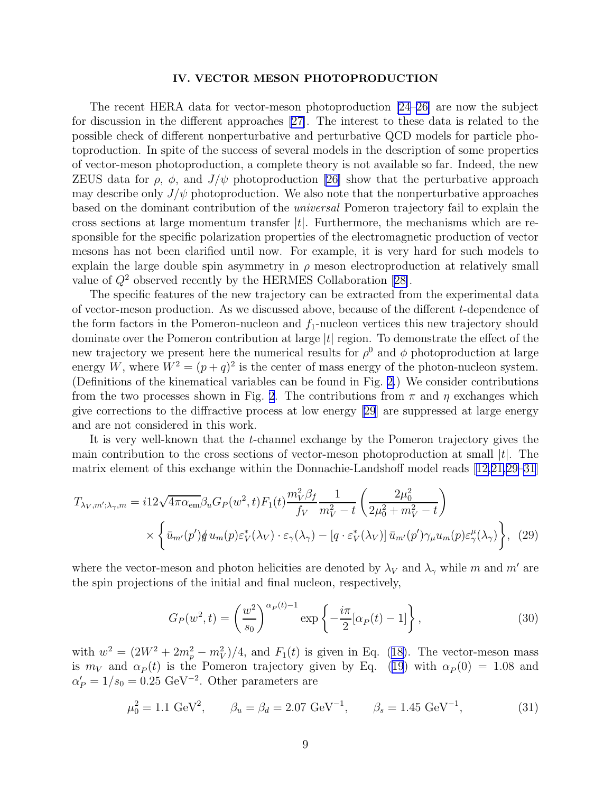#### IV. VECTOR MESON PHOTOPRODUCTION

The recent HERA data for vector-meson photoproduction [\[24–26\]](#page-14-0) are now the subject for discussion in the different approaches [\[27\]](#page-14-0). The interest to these data is related to the possible check of different nonperturbative and perturbative QCD models for particle photoproduction. In spite of the success of several models in the description of some properties of vector-meson photoproduction, a complete theory is not available so far. Indeed, the new ZEUS data for  $\rho$ ,  $\phi$ , and  $J/\psi$  photoproduction [\[26\]](#page-14-0) show that the perturbative approach may describe only  $J/\psi$  photoproduction. We also note that the nonperturbative approaches based on the dominant contribution of the universal Pomeron trajectory fail to explain the cross sections at large momentum transfer  $|t|$ . Furthermore, the mechanisms which are responsible for the specific polarization properties of the electromagnetic production of vector mesons has not been clarified until now. For example, it is very hard for such models to explain the large double spin asymmetry in  $\rho$  meson electroproduction at relatively small valueof  $Q^2$  observed recently by the HERMES Collaboration [[28\]](#page-15-0).

The specific features of the new trajectory can be extracted from the experimental data of vector-meson production. As we discussed above, because of the different  $t$ -dependence of the form factors in the Pomeron-nucleon and  $f_1$ -nucleon vertices this new trajectory should dominate over the Pomeron contribution at large  $|t|$  region. To demonstrate the effect of the new trajectory we present here the numerical results for  $\rho^0$  and  $\phi$  photoproduction at large energy W, where  $W^2 = (p+q)^2$  is the center of mass energy of the photon-nucleon system. (Definitions of the kinematical variables can be found in Fig. [2.](#page-16-0)) We consider contributions from the two processes shown in Fig. [2](#page-16-0). The contributions from  $\pi$  and  $\eta$  exchanges which give corrections to the diffractive process at low energy[[29](#page-15-0)] are suppressed at large energy and are not considered in this work.

It is very well-known that the t-channel exchange by the Pomeron trajectory gives the main contribution to the cross sections of vector-meson photoproduction at small  $|t|$ . The matrix element of this exchange within the Donnachie-Landshoff model reads[[12,21,](#page-14-0)[29–31](#page-15-0)]

$$
T_{\lambda_V,m';\lambda_\gamma,m} = i12\sqrt{4\pi\alpha_{em}}\beta_u G_P(w^2,t)F_1(t)\frac{m_V^2\beta_f}{f_V}\frac{1}{m_V^2-t}\left(\frac{2\mu_0^2}{2\mu_0^2+m_V^2-t}\right)
$$

$$
\times \left\{\bar{u}_{m'}(p')\sharp u_m(p)\varepsilon_V^*(\lambda_V)\cdot\varepsilon_\gamma(\lambda_\gamma) - [q\cdot\varepsilon_V^*(\lambda_V)]\,\bar{u}_{m'}(p')\gamma_\mu u_m(p)\varepsilon_\gamma^\mu(\lambda_\gamma)\right\},\tag{29}
$$

where the vector-meson and photon helicities are denoted by  $\lambda_V$  and  $\lambda_\gamma$  while m and m' are the spin projections of the initial and final nucleon, respectively,

$$
G_P(w^2, t) = \left(\frac{w^2}{s_0}\right)^{\alpha_P(t)-1} \exp\left\{-\frac{i\pi}{2}[\alpha_P(t) - 1]\right\},\tag{30}
$$

with $w^2 = (2W^2 + 2m_p^2 - m_V^2)/4$ , and  $F_1(t)$  is given in Eq. ([18\)](#page-5-0). The vector-meson mass is $m_V$  and  $\alpha_P(t)$  is the Pomeron trajectory given by Eq. ([19](#page-5-0)) with  $\alpha_P(0) = 1.08$  and  $\alpha'_P = 1/s_0 = 0.25 \text{ GeV}^{-2}$ . Other parameters are

$$
\mu_0^2 = 1.1 \text{ GeV}^2, \qquad \beta_u = \beta_d = 2.07 \text{ GeV}^{-1}, \qquad \beta_s = 1.45 \text{ GeV}^{-1}, \tag{31}
$$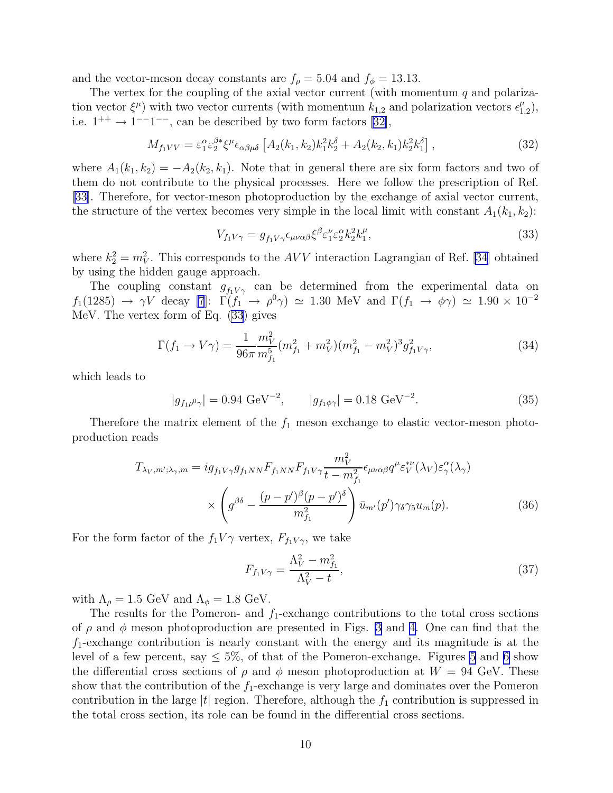and the vector-meson decay constants are  $f_{\rho} = 5.04$  and  $f_{\phi} = 13.13$ .

The vertex for the coupling of the axial vector current (with momentum  $q$  and polarization vector  $\xi^{\mu}$ ) with two vector currents (with momentum  $k_{1,2}$  and polarization vectors  $\epsilon_1^{\mu}$  $_{1,2}^{\mu}),$ i.e. $1^{++} \rightarrow 1^{--}1^{--}$ , can be described by two form factors [[32\]](#page-15-0),

$$
M_{f_1VV} = \varepsilon_1^{\alpha} \varepsilon_2^{\beta*} \xi^{\mu} \epsilon_{\alpha\beta\mu\delta} \left[ A_2(k_1, k_2) k_1^2 k_2^{\delta} + A_2(k_2, k_1) k_2^2 k_1^{\delta} \right],\tag{32}
$$

where  $A_1(k_1, k_2) = -A_2(k_2, k_1)$ . Note that in general there are six form factors and two of them do not contribute to the physical processes. Here we follow the prescription of Ref. [\[33](#page-15-0)]. Therefore, for vector-meson photoproduction by the exchange of axial vector current, the structure of the vertex becomes very simple in the local limit with constant  $A_1(k_1, k_2)$ :

$$
V_{f_1V\gamma} = g_{f_1V\gamma} \epsilon_{\mu\nu\alpha\beta} \xi^{\beta} \varepsilon_1^{\nu} \varepsilon_2^{\alpha} k_2^2 k_1^{\mu},\tag{33}
$$

where  $k_2^2 = m_V^2$ . This corresponds to the AVV interaction Lagrangian of Ref. [\[34](#page-15-0)] obtained by using the hidden gauge approach.

The coupling constant  $g_{f_1V\gamma}$  can be determined from the experimental data on  $f_1(1285) \rightarrow \gamma V$  decay [\[7](#page-14-0)]:  $\Gamma(f_1 \rightarrow \rho^0 \gamma) \simeq 1.30$  MeV and  $\Gamma(f_1 \rightarrow \phi \gamma) \simeq 1.90 \times 10^{-2}$ MeV. The vertex form of Eq. (33) gives

$$
\Gamma(f_1 \to V\gamma) = \frac{1}{96\pi} \frac{m_V^2}{m_{f_1}^5} (m_{f_1}^2 + m_V^2)(m_{f_1}^2 - m_V^2)^3 g_{f_1 V \gamma}^2, \tag{34}
$$

which leads to

$$
|g_{f_1\rho^0\gamma}| = 0.94 \text{ GeV}^{-2}, \qquad |g_{f_1\phi\gamma}| = 0.18 \text{ GeV}^{-2}.
$$
 (35)

Therefore the matrix element of the  $f_1$  meson exchange to elastic vector-meson photoproduction reads

$$
T_{\lambda_V,m';\lambda_\gamma,m} = ig_{f_1V\gamma}g_{f_1NN}F_{f_1NN}F_{f_1V\gamma}\frac{m_V^2}{t-m_{f_1}^2}\epsilon_{\mu\nu\alpha\beta}q^{\mu}\varepsilon_V^{*\nu}(\lambda_V)\varepsilon_\gamma^{\alpha}(\lambda_\gamma)
$$

$$
\times \left(g^{\beta\delta} - \frac{(p-p')^{\beta}(p-p')^{\delta}}{m_{f_1}^2}\right)\bar{u}_{m'}(p')\gamma_\delta\gamma_5 u_m(p). \tag{36}
$$

For the form factor of the  $f_1V\gamma$  vertex,  $F_{f_1V\gamma}$ , we take

$$
F_{f_1 V \gamma} = \frac{\Lambda_V^2 - m_{f_1}^2}{\Lambda_V^2 - t},\tag{37}
$$

with  $\Lambda_{\rho} = 1.5$  GeV and  $\Lambda_{\phi} = 1.8$  GeV.

The results for the Pomeron- and  $f_1$ -exchange contributions to the total cross sections of  $\rho$  and  $\phi$  meson photoproduction are presented in Figs. [3](#page-17-0) and [4.](#page-17-0) One can find that the  $f_1$ -exchange contribution is nearly constant with the energy and its magnitude is at the level of a few percent, say  $\leq 5\%$  $\leq 5\%$  $\leq 5\%$ , of that of the Pomeron-exchange. Figures 5 and [6](#page-18-0) show the differential cross sections of  $\rho$  and  $\phi$  meson photoproduction at  $W = 94$  GeV. These show that the contribution of the  $f_1$ -exchange is very large and dominates over the Pomeron contribution in the large  $|t|$  region. Therefore, although the  $f_1$  contribution is suppressed in the total cross section, its role can be found in the differential cross sections.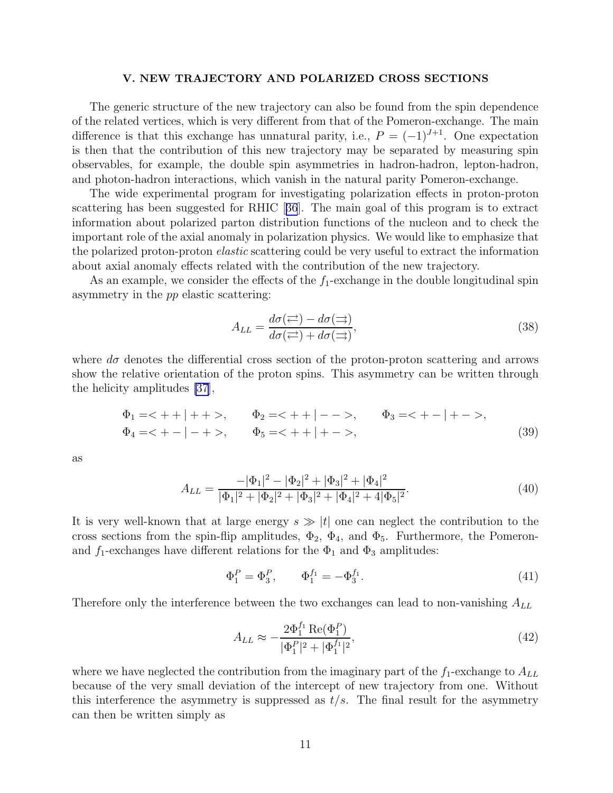#### V. NEW TRAJECTORY AND POLARIZED CROSS SECTIONS

The generic structure of the new trajectory can also be found from the spin dependence of the related vertices, which is very different from that of the Pomeron-exchange. The main difference is that this exchange has unnatural parity, i.e.,  $P = (-1)^{J+1}$ . One expectation is then that the contribution of this new trajectory may be separated by measuring spin observables, for example, the double spin asymmetries in hadron-hadron, lepton-hadron, and photon-hadron interactions, which vanish in the natural parity Pomeron-exchange.

The wide experimental program for investigating polarization effects in proton-proton scattering has been suggested for RHIC[[36](#page-15-0)]. The main goal of this program is to extract information about polarized parton distribution functions of the nucleon and to check the important role of the axial anomaly in polarization physics. We would like to emphasize that the polarized proton-proton *elastic* scattering could be very useful to extract the information about axial anomaly effects related with the contribution of the new trajectory.

As an example, we consider the effects of the  $f_1$ -exchange in the double longitudinal spin asymmetry in the pp elastic scattering:

$$
A_{LL} = \frac{d\sigma(\rightleftarrows) - d\sigma(\rightarrows)}{d\sigma(\rightleftarrows) + d\sigma(\rightarrows)},\tag{38}
$$

where  $d\sigma$  denotes the differential cross section of the proton-proton scattering and arrows show the relative orientation of the proton spins. This asymmetry can be written through the helicity amplitudes [\[37](#page-15-0)],

$$
\Phi_1 = \langle + | + | + \rangle, \qquad \Phi_2 = \langle + | - - \rangle, \qquad \Phi_3 = \langle + - | + - \rangle, \n\Phi_4 = \langle + - | - + \rangle, \qquad \Phi_5 = \langle + | + - \rangle, \tag{39}
$$

as

$$
A_{LL} = \frac{-|\Phi_1|^2 - |\Phi_2|^2 + |\Phi_3|^2 + |\Phi_4|^2}{|\Phi_1|^2 + |\Phi_2|^2 + |\Phi_3|^2 + |\Phi_4|^2 + 4|\Phi_5|^2}.
$$
\n(40)

It is very well-known that at large energy  $s \gg |t|$  one can neglect the contribution to the cross sections from the spin-flip amplitudes,  $\Phi_2$ ,  $\Phi_4$ , and  $\Phi_5$ . Furthermore, the Pomeronand  $f_1$ -exchanges have different relations for the  $\Phi_1$  and  $\Phi_3$  amplitudes:

$$
\Phi_1^P = \Phi_3^P, \qquad \Phi_1^{f_1} = -\Phi_3^{f_1}.
$$
\n(41)

Therefore only the interference between the two exchanges can lead to non-vanishing  $A_{LL}$ 

$$
A_{LL} \approx -\frac{2\Phi_1^{f_1} \operatorname{Re}(\Phi_1^P)}{|\Phi_1^P|^2 + |\Phi_1^{f_1}|^2},\tag{42}
$$

where we have neglected the contribution from the imaginary part of the  $f_1$ -exchange to  $A_{LL}$ because of the very small deviation of the intercept of new trajectory from one. Without this interference the asymmetry is suppressed as  $t/s$ . The final result for the asymmetry can then be written simply as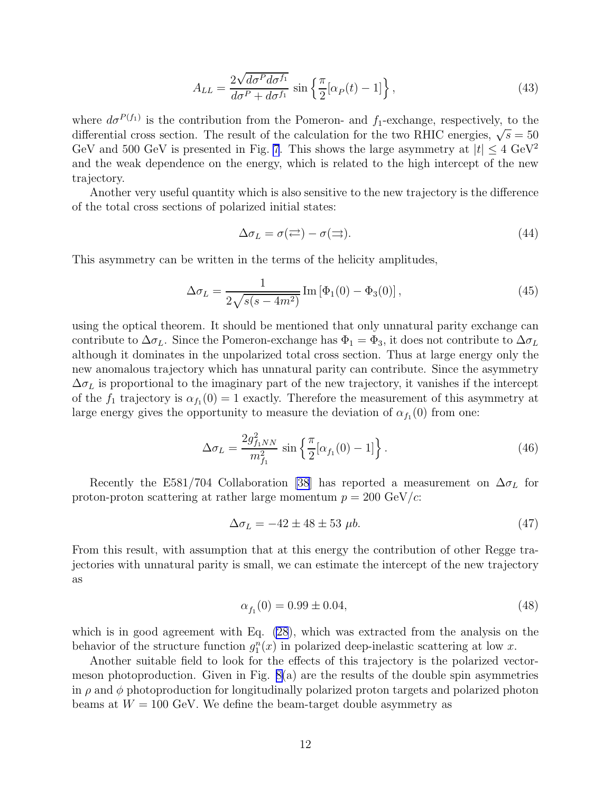$$
A_{LL} = \frac{2\sqrt{d\sigma^P d\sigma^{f_1}}}{d\sigma^P + d\sigma^{f_1}} \sin\left\{\frac{\pi}{2}[\alpha_P(t) - 1]\right\},\tag{43}
$$

where  $d\sigma^{P(f_1)}$  is the contribution from the Pomeron- and  $f_1$ -exchange, respectively, to the differential cross section. The result of the calculation for the two RHIC energies,  $\sqrt{s} = 50$ GeV and 500 GeV is presented in Fig. [7](#page-19-0). This shows the large asymmetry at  $|t| \leq 4 \text{ GeV}^2$ and the weak dependence on the energy, which is related to the high intercept of the new trajectory.

Another very useful quantity which is also sensitive to the new trajectory is the difference of the total cross sections of polarized initial states:

$$
\Delta \sigma_L = \sigma(\rightleftharpoons) - \sigma(\rightleftharpoons). \tag{44}
$$

This asymmetry can be written in the terms of the helicity amplitudes,

$$
\Delta \sigma_L = \frac{1}{2\sqrt{s(s - 4m^2)}} \operatorname{Im} \left[ \Phi_1(0) - \Phi_3(0) \right],\tag{45}
$$

using the optical theorem. It should be mentioned that only unnatural parity exchange can contribute to  $\Delta \sigma_L$ . Since the Pomeron-exchange has  $\Phi_1 = \Phi_3$ , it does not contribute to  $\Delta \sigma_L$ although it dominates in the unpolarized total cross section. Thus at large energy only the new anomalous trajectory which has unnatural parity can contribute. Since the asymmetry  $\Delta\sigma_L$  is proportional to the imaginary part of the new trajectory, it vanishes if the intercept of the  $f_1$  trajectory is  $\alpha_{f_1}(0) = 1$  exactly. Therefore the measurement of this asymmetry at large energy gives the opportunity to measure the deviation of  $\alpha_{f_1}(0)$  from one:

$$
\Delta \sigma_L = \frac{2g_{f_1NN}^2}{m_{f_1}^2} \sin \left\{ \frac{\pi}{2} [\alpha_{f_1}(0) - 1] \right\}.
$$
\n(46)

Recently the E581/704 Collaboration [\[38](#page-15-0)] has reported a measurement on  $\Delta \sigma_L$  for proton-proton scattering at rather large momentum  $p = 200 \text{ GeV}/c$ :

$$
\Delta \sigma_L = -42 \pm 48 \pm 53 \,\mu b. \tag{47}
$$

From this result, with assumption that at this energy the contribution of other Regge trajectories with unnatural parity is small, we can estimate the intercept of the new trajectory as

$$
\alpha_{f_1}(0) = 0.99 \pm 0.04,\tag{48}
$$

which is in good agreement with Eq. [\(28](#page-7-0)), which was extracted from the analysis on the behavior of the structure function  $g_1^n(x)$  in polarized deep-inelastic scattering at low x.

Another suitable field to look for the effects of this trajectory is the polarized vectormeson photoproduction. Given in Fig. [8\(](#page-19-0)a) are the results of the double spin asymmetries in  $\rho$  and  $\phi$  photoproduction for longitudinally polarized proton targets and polarized photon beams at  $W = 100$  GeV. We define the beam-target double asymmetry as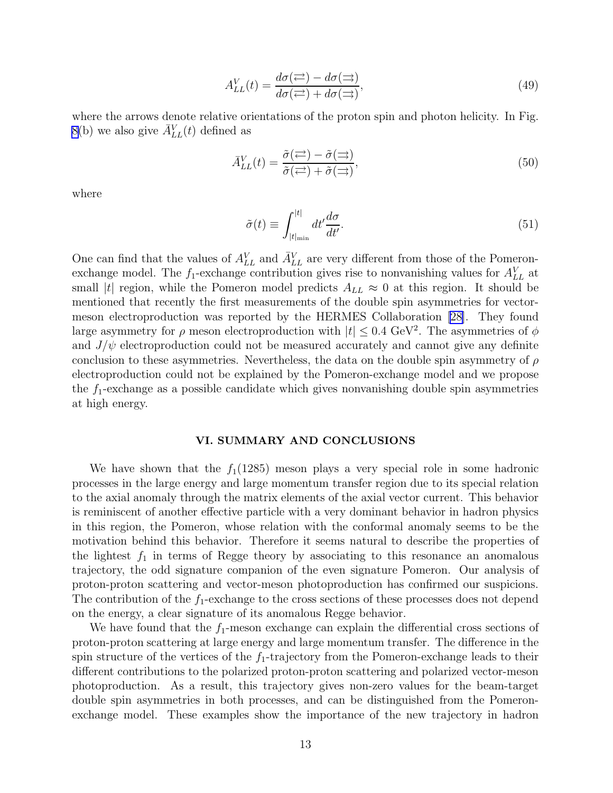$$
A_{LL}^V(t) = \frac{d\sigma(\rightleftarrows) - d\sigma(\rightarrows)}{d\sigma(\rightleftarrows) + d\sigma(\rightarrows)},\tag{49}
$$

where the arrows denote relative orientations of the proton spin and photon helicity. In Fig. [8\(](#page-19-0)b) we also give  $\bar{A}_{LL}^V(t)$  defined as

$$
\bar{A}_{LL}^V(t) = \frac{\tilde{\sigma}(\vec{\leftarrow}) - \tilde{\sigma}(\vec{\rightarrow})}{\tilde{\sigma}(\vec{\leftarrow}) + \tilde{\sigma}(\vec{\rightarrow})},\tag{50}
$$

where

$$
\tilde{\sigma}(t) \equiv \int_{|t|_{\min}}^{|t|} dt' \frac{d\sigma}{dt'}.\tag{51}
$$

One can find that the values of  $A_{LL}^V$  and  $\bar{A}_{LL}^V$  are very different from those of the Pomeronexchange model. The  $f_1$ -exchange contribution gives rise to nonvanishing values for  $A_{LL}^V$  at small |t| region, while the Pomeron model predicts  $A_{LL} \approx 0$  at this region. It should be mentioned that recently the first measurements of the double spin asymmetries for vectormeson electroproduction was reported by the HERMES Collaboration [\[28\]](#page-15-0). They found large asymmetry for  $\rho$  meson electroproduction with  $|t| \leq 0.4 \text{ GeV}^2$ . The asymmetries of  $\phi$ and  $J/\psi$  electroproduction could not be measured accurately and cannot give any definite conclusion to these asymmetries. Nevertheless, the data on the double spin asymmetry of  $\rho$ electroproduction could not be explained by the Pomeron-exchange model and we propose the  $f_1$ -exchange as a possible candidate which gives nonvanishing double spin asymmetries at high energy.

#### VI. SUMMARY AND CONCLUSIONS

We have shown that the  $f_1(1285)$  meson plays a very special role in some hadronic processes in the large energy and large momentum transfer region due to its special relation to the axial anomaly through the matrix elements of the axial vector current. This behavior is reminiscent of another effective particle with a very dominant behavior in hadron physics in this region, the Pomeron, whose relation with the conformal anomaly seems to be the motivation behind this behavior. Therefore it seems natural to describe the properties of the lightest  $f_1$  in terms of Regge theory by associating to this resonance an anomalous trajectory, the odd signature companion of the even signature Pomeron. Our analysis of proton-proton scattering and vector-meson photoproduction has confirmed our suspicions. The contribution of the  $f_1$ -exchange to the cross sections of these processes does not depend on the energy, a clear signature of its anomalous Regge behavior.

We have found that the  $f_1$ -meson exchange can explain the differential cross sections of proton-proton scattering at large energy and large momentum transfer. The difference in the spin structure of the vertices of the  $f_1$ -trajectory from the Pomeron-exchange leads to their different contributions to the polarized proton-proton scattering and polarized vector-meson photoproduction. As a result, this trajectory gives non-zero values for the beam-target double spin asymmetries in both processes, and can be distinguished from the Pomeronexchange model. These examples show the importance of the new trajectory in hadron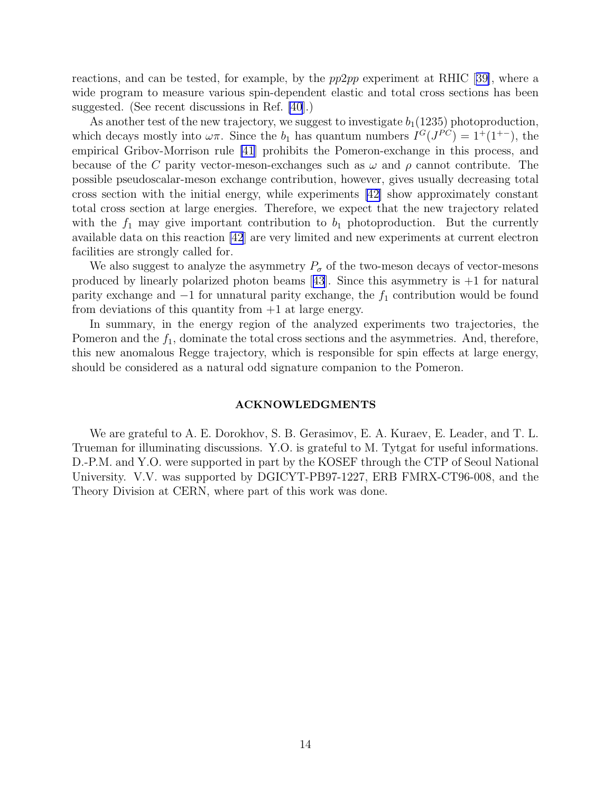reactions, and can be tested, for example, by the pp2pp experiment at RHIC[[39\]](#page-15-0), where a wide program to measure various spin-dependent elastic and total cross sections has been suggested. (See recent discussions in Ref. [\[40](#page-15-0)].)

As another test of the new trajectory, we suggest to investigate  $b_1(1235)$  photoproduction, which decays mostly into  $\omega \pi$ . Since the  $b_1$  has quantum numbers  $I^G(J^{PC}) = 1^+(1^{+-})$ , the empirical Gribov-Morrison rule [\[41](#page-15-0)] prohibits the Pomeron-exchange in this process, and because of the C parity vector-meson-exchanges such as  $\omega$  and  $\rho$  cannot contribute. The possible pseudoscalar-meson exchange contribution, however, gives usually decreasing total cross section with the initial energy, while experiments [\[42\]](#page-15-0) show approximately constant total cross section at large energies. Therefore, we expect that the new trajectory related with the  $f_1$  may give important contribution to  $b_1$  photoproduction. But the currently available data on this reaction [\[42](#page-15-0)] are very limited and new experiments at current electron facilities are strongly called for.

We also suggest to analyze the asymmetry  $P_{\sigma}$  of the two-meson decays of vector-mesons producedby linearly polarized photon beams [[43](#page-15-0)]. Since this asymmetry is  $+1$  for natural parity exchange and  $-1$  for unnatural parity exchange, the  $f_1$  contribution would be found from deviations of this quantity from  $+1$  at large energy.

In summary, in the energy region of the analyzed experiments two trajectories, the Pomeron and the  $f_1$ , dominate the total cross sections and the asymmetries. And, therefore, this new anomalous Regge trajectory, which is responsible for spin effects at large energy, should be considered as a natural odd signature companion to the Pomeron.

#### ACKNOWLEDGMENTS

We are grateful to A. E. Dorokhov, S. B. Gerasimov, E. A. Kuraev, E. Leader, and T. L. Trueman for illuminating discussions. Y.O. is grateful to M. Tytgat for useful informations. D.-P.M. and Y.O. were supported in part by the KOSEF through the CTP of Seoul National University. V.V. was supported by DGICYT-PB97-1227, ERB FMRX-CT96-008, and the Theory Division at CERN, where part of this work was done.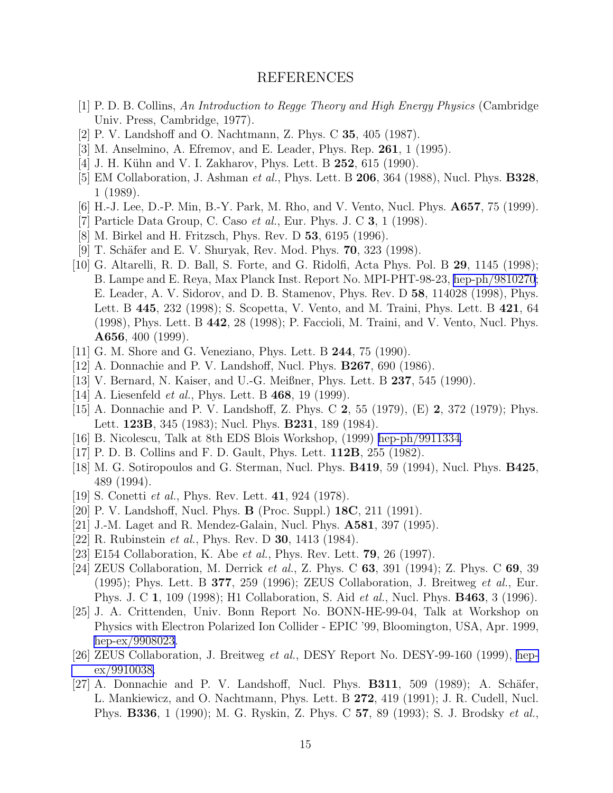### REFERENCES

- <span id="page-14-0"></span>[1] P. D. B. Collins, An Introduction to Regge Theory and High Energy Physics (Cambridge Univ. Press, Cambridge, 1977).
- [2] P. V. Landshoff and O. Nachtmann, Z. Phys. C 35, 405 (1987).
- [3] M. Anselmino, A. Efremov, and E. Leader, Phys. Rep. 261, 1 (1995).
- [4] J. H. Kühn and V. I. Zakharov, Phys. Lett. B 252, 615 (1990).
- [5] EM Collaboration, J. Ashman *et al.*, Phys. Lett. B **206**, 364 (1988), Nucl. Phys. **B328**, 1 (1989).
- [6] H.-J. Lee, D.-P. Min, B.-Y. Park, M. Rho, and V. Vento, Nucl. Phys. A657, 75 (1999).
- [7] Particle Data Group, C. Caso *et al.*, Eur. Phys. J. C  $3$ , 1 (1998).
- [8] M. Birkel and H. Fritzsch, Phys. Rev. D 53, 6195 (1996).
- [9] T. Schäfer and E. V. Shuryak, Rev. Mod. Phys. **70**, 323 (1998).
- [10] G. Altarelli, R. D. Ball, S. Forte, and G. Ridolfi, Acta Phys. Pol. B 29, 1145 (1998); B. Lampe and E. Reya, Max Planck Inst. Report No. MPI-PHT-98-23, [hep-ph/9810270](http://arXiv.org/abs/hep-ph/9810270); E. Leader, A. V. Sidorov, and D. B. Stamenov, Phys. Rev. D 58, 114028 (1998), Phys. Lett. B 445, 232 (1998); S. Scopetta, V. Vento, and M. Traini, Phys. Lett. B 421, 64 (1998), Phys. Lett. B 442, 28 (1998); P. Faccioli, M. Traini, and V. Vento, Nucl. Phys. A656, 400 (1999).
- [11] G. M. Shore and G. Veneziano, Phys. Lett. B 244, 75 (1990).
- [12] A. Donnachie and P. V. Landshoff, Nucl. Phys. B267, 690 (1986).
- [13] V. Bernard, N. Kaiser, and U.-G. Meißner, Phys. Lett. B 237, 545 (1990).
- [14] A. Liesenfeld *et al.*, Phys. Lett. B 468, 19 (1999).
- [15] A. Donnachie and P. V. Landshoff, Z. Phys. C 2, 55 (1979), (E) 2, 372 (1979); Phys. Lett. 123B, 345 (1983); Nucl. Phys. B231, 189 (1984).
- [16] B. Nicolescu, Talk at 8th EDS Blois Workshop, (1999) [hep-ph/9911334.](http://arXiv.org/abs/hep-ph/9911334)
- [17] P. D. B. Collins and F. D. Gault, Phys. Lett. 112B, 255 (1982).
- [18] M. G. Sotiropoulos and G. Sterman, Nucl. Phys. **B419**, 59 (1994), Nucl. Phys. **B425**, 489 (1994).
- [19] S. Conetti *et al.*, Phys. Rev. Lett. **41**, 924 (1978).
- [20] P. V. Landshoff, Nucl. Phys. B (Proc. Suppl.) 18C, 211 (1991).
- [21] J.-M. Laget and R. Mendez-Galain, Nucl. Phys. A581, 397 (1995).
- [22] R. Rubinstein *et al.*, Phys. Rev. D **30**, 1413 (1984).
- [23] E154 Collaboration, K. Abe *et al.*, Phys. Rev. Lett. **79**, 26 (1997).
- [24] ZEUS Collaboration, M. Derrick et al., Z. Phys. C 63, 391 (1994); Z. Phys. C 69, 39 (1995); Phys. Lett. B 377, 259 (1996); ZEUS Collaboration, J. Breitweg et al., Eur. Phys. J. C 1, 109 (1998); H1 Collaboration, S. Aid *et al.*, Nucl. Phys. **B463**, 3 (1996).
- [25] J. A. Crittenden, Univ. Bonn Report No. BONN-HE-99-04, Talk at Workshop on Physics with Electron Polarized Ion Collider - EPIC '99, Bloomington, USA, Apr. 1999, [hep-ex/9908023.](http://arXiv.org/abs/hep-ex/9908023)
- [26] ZEUS Collaboration, J. Breitweg et al., DESY Report No. DESY-99-160 (1999), [hep](http://arXiv.org/abs/hep-ex/9910038)[ex/9910038.](http://arXiv.org/abs/hep-ex/9910038)
- [27] A. Donnachie and P. V. Landshoff, Nucl. Phys.  $\bf{B311}$ , 509 (1989); A. Schäfer, L. Mankiewicz, and O. Nachtmann, Phys. Lett. B 272, 419 (1991); J. R. Cudell, Nucl. Phys. B336, 1 (1990); M. G. Ryskin, Z. Phys. C 57, 89 (1993); S. J. Brodsky et al.,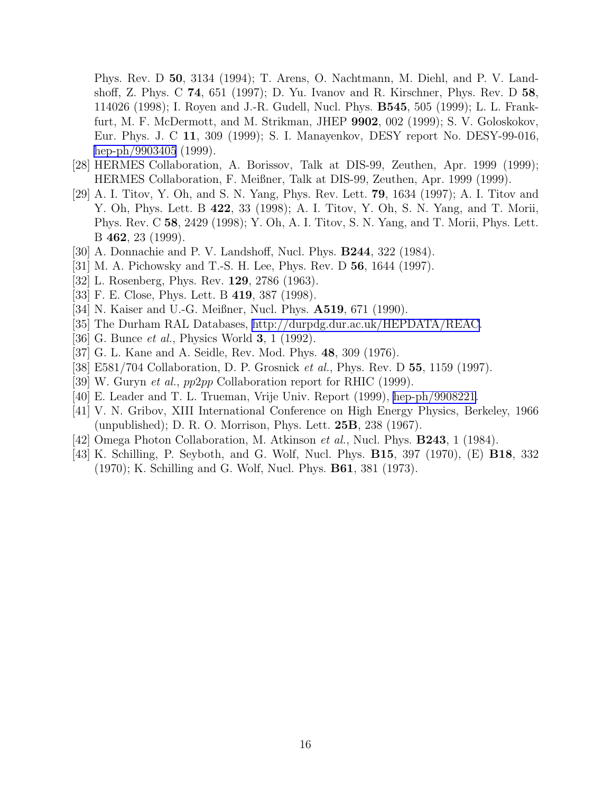<span id="page-15-0"></span>Phys. Rev. D 50, 3134 (1994); T. Arens, O. Nachtmann, M. Diehl, and P. V. Landshoff, Z. Phys. C 74, 651 (1997); D. Yu. Ivanov and R. Kirschner, Phys. Rev. D 58, 114026 (1998); I. Royen and J.-R. Gudell, Nucl. Phys. B545, 505 (1999); L. L. Frankfurt, M. F. McDermott, and M. Strikman, JHEP 9902, 002 (1999); S. V. Goloskokov, Eur. Phys. J. C 11, 309 (1999); S. I. Manayenkov, DESY report No. DESY-99-016, [hep-ph/9903405](http://arXiv.org/abs/hep-ph/9903405) (1999).

- [28] HERMES Collaboration, A. Borissov, Talk at DIS-99, Zeuthen, Apr. 1999 (1999); HERMES Collaboration, F. Meißner, Talk at DIS-99, Zeuthen, Apr. 1999 (1999).
- [29] A. I. Titov, Y. Oh, and S. N. Yang, Phys. Rev. Lett. 79, 1634 (1997); A. I. Titov and Y. Oh, Phys. Lett. B 422, 33 (1998); A. I. Titov, Y. Oh, S. N. Yang, and T. Morii, Phys. Rev. C 58, 2429 (1998); Y. Oh, A. I. Titov, S. N. Yang, and T. Morii, Phys. Lett. B 462, 23 (1999).
- [30] A. Donnachie and P. V. Landshoff, Nucl. Phys. B244, 322 (1984).
- [31] M. A. Pichowsky and T.-S. H. Lee, Phys. Rev. D 56, 1644 (1997).
- [32] L. Rosenberg, Phys. Rev. 129, 2786 (1963).
- [33] F. E. Close, Phys. Lett. B 419, 387 (1998).
- [34] N. Kaiser and U.-G. Meißner, Nucl. Phys. **A519**, 671 (1990).
- [35] The Durham RAL Databases, [http://durpdg.dur.ac.uk/HEPDATA/REAC.](http://durpdg.dur.ac.uk/HEPDATA/REAC)
- [36] G. Bunce *et al.*, Physics World **3**, 1 (1992).
- [37] G. L. Kane and A. Seidle, Rev. Mod. Phys. 48, 309 (1976).
- [38] E581/704 Collaboration, D. P. Grosnick et al., Phys. Rev. D 55, 1159 (1997).
- [39] W. Guryn et al., pp2pp Collaboration report for RHIC (1999).
- [40] E. Leader and T. L. Trueman, Vrije Univ. Report (1999), [hep-ph/9908221](http://arXiv.org/abs/hep-ph/9908221).
- [41] V. N. Gribov, XIII International Conference on High Energy Physics, Berkeley, 1966 (unpublished); D. R. O. Morrison, Phys. Lett. 25B, 238 (1967).
- [42] Omega Photon Collaboration, M. Atkinson et al., Nucl. Phys. B243, 1 (1984).
- [43] K. Schilling, P. Seyboth, and G. Wolf, Nucl. Phys. B15, 397 (1970), (E) B18, 332 (1970); K. Schilling and G. Wolf, Nucl. Phys. B61, 381 (1973).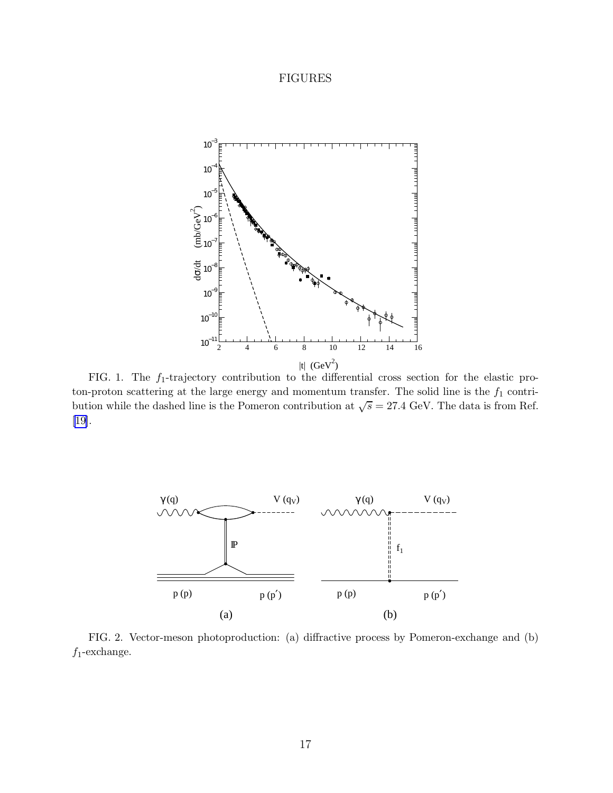# FIGURES

<span id="page-16-0"></span>

FIG. 1. The  $f_1$ -trajectory contribution to the differential cross section for the elastic proton-proton scattering at the large energy and momentum transfer. The solid line is the  $f_1$  contribution while the dashed line is the Pomeron contribution at  $\sqrt{s} = 27.4$  GeV. The data is from Ref. [\[19\]](#page-14-0).



FIG. 2. Vector-meson photoproduction: (a) diffractive process by Pomeron-exchange and (b)  $f_1$ -exchange.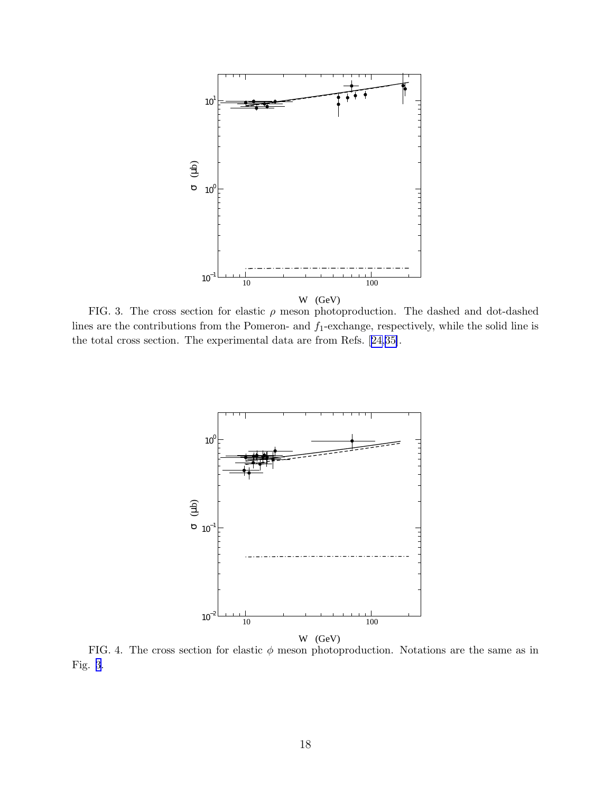<span id="page-17-0"></span>

FIG. 3. The cross section for elastic  $\rho$  meson photoproduction. The dashed and dot-dashed lines are the contributions from the Pomeron- and  $f_1$ -exchange, respectively, while the solid line is the total cross section. The experimental data are from Refs.[[24,](#page-14-0)[35\]](#page-15-0).



FIG. 4. The cross section for elastic  $\phi$  meson photoproduction. Notations are the same as in Fig. 3.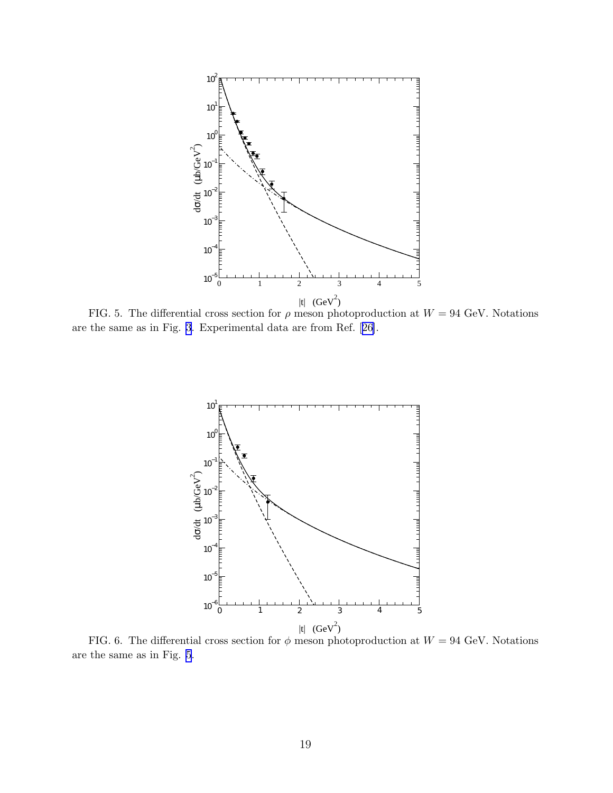<span id="page-18-0"></span>

FIG. 5. The differential cross section for  $\rho$  meson photoproduction at  $W = 94$  GeV. Notations are the same as in Fig. [3](#page-17-0). Experimental data are from Ref.[[26\]](#page-14-0).



FIG. 6. The differential cross section for  $\phi$  meson photoproduction at  $W = 94$  GeV. Notations are the same as in Fig. 5.